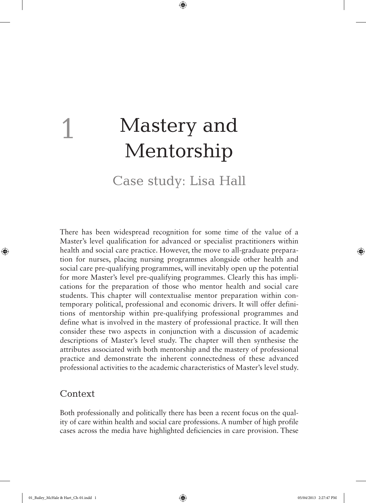# Mastery and Mentorship

 $\bigoplus$ 

Case study: Lisa Hall

There has been widespread recognition for some time of the value of a Master's level qualification for advanced or specialist practitioners within health and social care practice. However, the move to all-graduate preparation for nurses, placing nursing programmes alongside other health and social care pre-qualifying programmes, will inevitably open up the potential for more Master's level pre-qualifying programmes. Clearly this has implications for the preparation of those who mentor health and social care students. This chapter will contextualise mentor preparation within contemporary political, professional and economic drivers. It will offer definitions of mentorship within pre-qualifying professional programmes and define what is involved in the mastery of professional practice. It will then consider these two aspects in conjunction with a discussion of academic descriptions of Master's level study. The chapter will then synthesise the attributes associated with both mentorship and the mastery of professional practice and demonstrate the inherent connectedness of these advanced professional activities to the academic characteristics of Master's level study.

## Context

1

⊕

Both professionally and politically there has been a recent focus on the quality of care within health and social care professions. A number of high profile cases across the media have highlighted deficiencies in care provision. These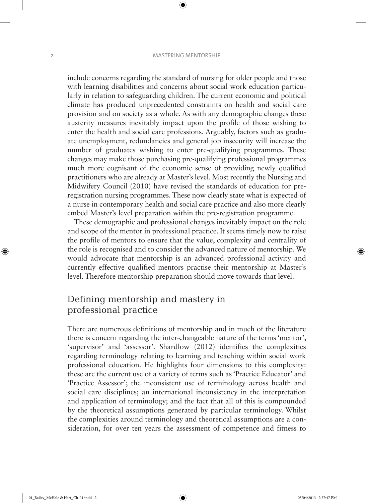#### 2 MASTERING MENTORSHIP

 $\bigoplus$ 

include concerns regarding the standard of nursing for older people and those with learning disabilities and concerns about social work education particularly in relation to safeguarding children. The current economic and political climate has produced unprecedented constraints on health and social care provision and on society as a whole. As with any demographic changes these austerity measures inevitably impact upon the profile of those wishing to enter the health and social care professions. Arguably, factors such as graduate unemployment, redundancies and general job insecurity will increase the number of graduates wishing to enter pre-qualifying programmes. These changes may make those purchasing pre-qualifying professional programmes much more cognisant of the economic sense of providing newly qualified practitioners who are already at Master's level. Most recently the Nursing and Midwifery Council (2010) have revised the standards of education for preregistration nursing programmes. These now clearly state what is expected of a nurse in contemporary health and social care practice and also more clearly embed Master's level preparation within the pre-registration programme.

These demographic and professional changes inevitably impact on the role and scope of the mentor in professional practice. It seems timely now to raise the profile of mentors to ensure that the value, complexity and centrality of the role is recognised and to consider the advanced nature of mentorship. We would advocate that mentorship is an advanced professional activity and currently effective qualified mentors practise their mentorship at Master's level. Therefore mentorship preparation should move towards that level.

# Defining mentorship and mastery in professional practice

There are numerous definitions of mentorship and in much of the literature there is concern regarding the inter-changeable nature of the terms 'mentor', 'supervisor' and 'assessor'. Shardlow (2012) identifies the complexities regarding terminology relating to learning and teaching within social work professional education. He highlights four dimensions to this complexity: these are the current use of a variety of terms such as 'Practice Educator' and 'Practice Assessor'; the inconsistent use of terminology across health and social care disciplines; an international inconsistency in the interpretation and application of terminology; and the fact that all of this is compounded by the theoretical assumptions generated by particular terminology. Whilst the complexities around terminology and theoretical assumptions are a consideration, for over ten years the assessment of competence and fitness to

⊕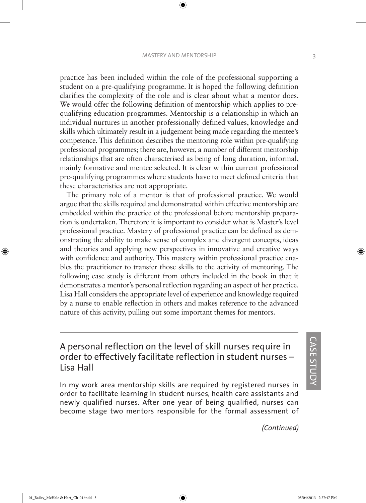#### MASTERY AND MENTORSHIP 3

 $\bigoplus$ 

practice has been included within the role of the professional supporting a student on a pre-qualifying programme. It is hoped the following definition clarifies the complexity of the role and is clear about what a mentor does. We would offer the following definition of mentorship which applies to prequalifying education programmes. Mentorship is a relationship in which an individual nurtures in another professionally defined values, knowledge and skills which ultimately result in a judgement being made regarding the mentee's competence. This definition describes the mentoring role within pre-qualifying professional programmes; there are, however, a number of different mentorship relationships that are often characterised as being of long duration, informal, mainly formative and mentee selected. It is clear within current professional pre-qualifying programmes where students have to meet defined criteria that these characteristics are not appropriate.

The primary role of a mentor is that of professional practice. We would argue that the skills required and demonstrated within effective mentorship are embedded within the practice of the professional before mentorship preparation is undertaken. Therefore it is important to consider what is Master's level professional practice. Mastery of professional practice can be defined as demonstrating the ability to make sense of complex and divergent concepts, ideas and theories and applying new perspectives in innovative and creative ways with confidence and authority. This mastery within professional practice enables the practitioner to transfer those skills to the activity of mentoring. The following case study is different from others included in the book in that it demonstrates a mentor's personal reflection regarding an aspect of her practice. Lisa Hall considers the appropriate level of experience and knowledge required by a nurse to enable reflection in others and makes reference to the advanced nature of this activity, pulling out some important themes for mentors.

A personal reflection on the level of skill nurses require in order to effectively facilitate reflection in student nurses – Lisa Hall

In my work area mentorship skills are required by registered nurses in order to facilitate learning in student nurses, health care assistants and newly qualified nurses. After one year of being qualified, nurses can become stage two mentors responsible for the formal assessment of

*(Continued)*

CASE  $\overline{c}$ UDY ⊕

01\_Bailey\_McHale & Hart\_Ch-01.indd 3 05/04/2013 2:27:47 PM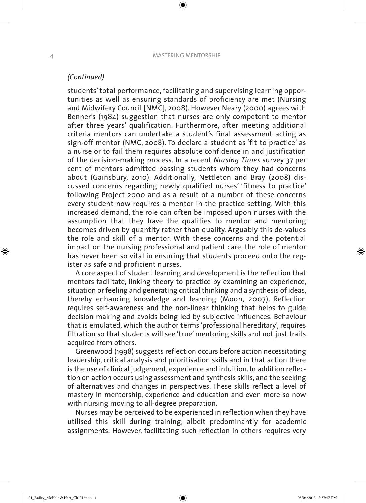## *(Continued)*

students' total performance, facilitating and supervising learning opportunities as well as ensuring standards of proficiency are met (Nursing and Midwifery Council [NMC], 2008). However Neary (2000) agrees with Benner's (1984) suggestion that nurses are only competent to mentor after three years' qualification. Furthermore, after meeting additional criteria mentors can undertake a student's final assessment acting as sign-off mentor (NMC, 2008). To declare a student as 'fit to practice' as a nurse or to fail them requires absolute confidence in and justification of the decision-making process. In a recent *Nursing Times* survey 37 per cent of mentors admitted passing students whom they had concerns about (Gainsbury, 2010). Additionally, Nettleton and Bray (2008) discussed concerns regarding newly qualified nurses' 'fitness to practice' following Project 2000 and as a result of a number of these concerns every student now requires a mentor in the practice setting. With this increased demand, the role can often be imposed upon nurses with the assumption that they have the qualities to mentor and mentoring becomes driven by quantity rather than quality. Arguably this de-values the role and skill of a mentor. With these concerns and the potential impact on the nursing professional and patient care, the role of mentor has never been so vital in ensuring that students proceed onto the register as safe and proficient nurses.

A core aspect of student learning and development is the reflection that mentors facilitate, linking theory to practice by examining an experience, situation or feeling and generating critical thinking and a synthesis of ideas, thereby enhancing knowledge and learning (Moon, 2007). Reflection requires self-awareness and the non-linear thinking that helps to guide decision making and avoids being led by subjective influences. Behaviour that is emulated, which the author terms 'professional hereditary', requires filtration so that students will see 'true' mentoring skills and not just traits acquired from others.

Greenwood (1998) suggests reflection occurs before action necessitating leadership, critical analysis and prioritisation skills and in that action there is the use of clinical judgement, experience and intuition. In addition reflection on action occurs using assessment and synthesis skills, and the seeking of alternatives and changes in perspectives. These skills reflect a level of mastery in mentorship, experience and education and even more so now with nursing moving to all-degree preparation.

Nurses may be perceived to be experienced in reflection when they have utilised this skill during training, albeit predominantly for academic assignments. However, facilitating such reflection in others requires very ♠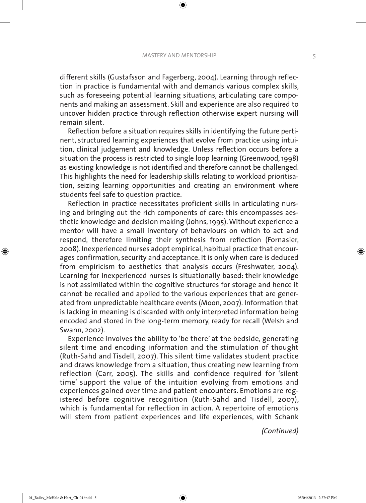#### MASTERY AND MENTORSHIP 5

 $\textcircled{\scriptsize{*}}$ 

different skills (Gustafsson and Fagerberg, 2004). Learning through reflection in practice is fundamental with and demands various complex skills, such as foreseeing potential learning situations, articulating care components and making an assessment. Skill and experience are also required to uncover hidden practice through reflection otherwise expert nursing will remain silent.

Reflection before a situation requires skills in identifying the future pertinent, structured learning experiences that evolve from practice using intuition, clinical judgement and knowledge. Unless reflection occurs before a situation the process is restricted to single loop learning (Greenwood, 1998) as existing knowledge is not identified and therefore cannot be challenged. This highlights the need for leadership skills relating to workload prioritisation, seizing learning opportunities and creating an environment where students feel safe to question practice.

Reflection in practice necessitates proficient skills in articulating nursing and bringing out the rich components of care: this encompasses aesthetic knowledge and decision making (Johns, 1995). Without experience a mentor will have a small inventory of behaviours on which to act and respond, therefore limiting their synthesis from reflection (Fornasier, 2008). Inexperienced nurses adopt empirical, habitual practice that encourages confirmation, security and acceptance. It is only when care is deduced from empiricism to aesthetics that analysis occurs (Freshwater, 2004). Learning for inexperienced nurses is situationally based: their knowledge is not assimilated within the cognitive structures for storage and hence it cannot be recalled and applied to the various experiences that are generated from unpredictable healthcare events (Moon, 2007). Information that is lacking in meaning is discarded with only interpreted information being encoded and stored in the long-term memory, ready for recall (Welsh and Swann, 2002).

Experience involves the ability to 'be there' at the bedside, generating silent time and encoding information and the stimulation of thought (Ruth-Sahd and Tisdell, 2007). This silent time validates student practice and draws knowledge from a situation, thus creating new learning from reflection (Carr, 2005). The skills and confidence required for 'silent time' support the value of the intuition evolving from emotions and experiences gained over time and patient encounters. Emotions are registered before cognitive recognition (Ruth-Sahd and Tisdell, 2007), which is fundamental for reflection in action. A repertoire of emotions will stem from patient experiences and life experiences, with Schank

*(Continued)*

⊕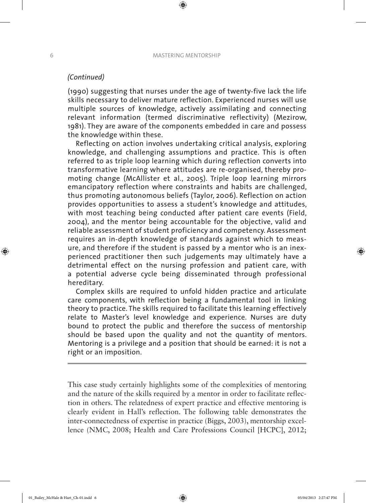## *(Continued)*

(1990) suggesting that nurses under the age of twenty-five lack the life skills necessary to deliver mature reflection. Experienced nurses will use multiple sources of knowledge, actively assimilating and connecting relevant information (termed discriminative reflectivity) (Mezirow, 1981). They are aware of the components embedded in care and possess the knowledge within these.

Reflecting on action involves undertaking critical analysis, exploring knowledge, and challenging assumptions and practice. This is often referred to as triple loop learning which during reflection converts into transformative learning where attitudes are re-organised, thereby promoting change (McAllister et al., 2005). Triple loop learning mirrors emancipatory reflection where constraints and habits are challenged, thus promoting autonomous beliefs (Taylor, 2006). Reflection on action provides opportunities to assess a student's knowledge and attitudes, with most teaching being conducted after patient care events (Field, 2004), and the mentor being accountable for the objective, valid and reliable assessment of student proficiency and competency. Assessment requires an in-depth knowledge of standards against which to measure, and therefore if the student is passed by a mentor who is an inexperienced practitioner then such judgements may ultimately have a detrimental effect on the nursing profession and patient care, with a potential adverse cycle being disseminated through professional hereditary.

Complex skills are required to unfold hidden practice and articulate care components, with reflection being a fundamental tool in linking theory to practice. The skills required to facilitate this learning effectively relate to Master's level knowledge and experience. Nurses are duty bound to protect the public and therefore the success of mentorship should be based upon the quality and not the quantity of mentors. Mentoring is a privilege and a position that should be earned: it is not a right or an imposition.

This case study certainly highlights some of the complexities of mentoring and the nature of the skills required by a mentor in order to facilitate reflection in others. The relatedness of expert practice and effective mentoring is clearly evident in Hall's reflection. The following table demonstrates the inter-connectedness of expertise in practice (Biggs, 2003), mentorship excellence (NMC, 2008; Health and Care Professions Council [HCPC], 2012;

♠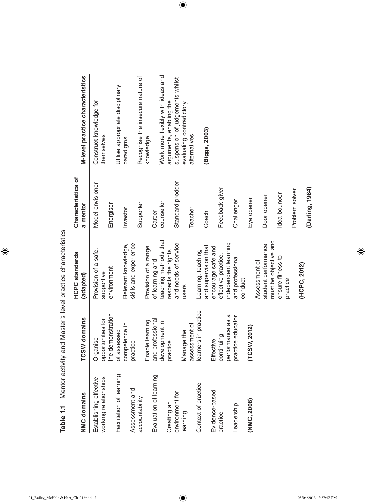| <b>NMC domains</b>                              | <b>TCSW</b> domains           | <b>HCPC</b> standards<br>(adapted) | Characteristics of<br>a mentor | M-level practice characteristics      |
|-------------------------------------------------|-------------------------------|------------------------------------|--------------------------------|---------------------------------------|
| working relationships<br>Establishing effective | opportunities for<br>Organise | Provision of a safe,<br>supportive | Model envisioner               | Construct knowledge for<br>themselves |
|                                                 | the demonstration             | environment                        | Energiser                      |                                       |
| Facilitation of learning                        | of assessed                   |                                    |                                | Utilise appropriate disciplinary      |
|                                                 | competence in                 | Relevant knowledge,                | Investor                       | paradigms                             |
| Assessment and                                  | practice                      | skills and experience              |                                |                                       |
| accountability                                  |                               |                                    | Supporter                      | Recognise the insecure nature of      |
|                                                 | Enable learning               | Provision of a range               |                                | knowledge                             |
| Evaluation of learning                          | and professional              | of learning and                    | Career                         |                                       |
|                                                 | development in                | teaching methods that              | counsellor                     | Work more flexibly with ideas and     |
| Creating an                                     | practice                      | respects the rights                |                                | arguments, enabling the               |
| environment for                                 |                               | and needs of service               | Standard prodder               | suspension of judgements whilst       |
| learning                                        | Manage the                    | users                              |                                | evaluating contradictory              |
|                                                 | assessment of                 |                                    | Teacher                        | alternatives                          |
| Context of practice                             | learners in practice          | Learning, teaching                 |                                |                                       |
|                                                 |                               | and supervision that               | Coach                          | (Biggs, 2003)                         |
| Evidence-based                                  | Effective                     | encourage safe and                 |                                |                                       |
| practice                                        | continuing                    | effective practice,                | Feedback giver                 |                                       |
|                                                 | performance as a              | independent learning               |                                |                                       |
| Leadership                                      | practice educator             | and professional                   | Challenger                     |                                       |
|                                                 |                               | conduct                            |                                |                                       |
| (NMC, 2008)                                     | (TCSW, 2012)                  |                                    | Eye opener                     |                                       |
|                                                 |                               | Assessment of                      |                                |                                       |
|                                                 |                               | student performance                | Door opener                    |                                       |
|                                                 |                               | must be objective and              |                                |                                       |
|                                                 |                               | ensure fitness to                  | Idea bouncer                   |                                       |
|                                                 |                               | practice                           |                                |                                       |

 $\bigoplus$ 

Table 1.1 Mentor activity and Master's level practice characteristics **Table 1.1** Mentor activity and Master's level practice characteristics

 $\bigoplus$ 

**(HCPC, 2012)**

(HCPC, 2012)

Problem solver

Problem solver

**(Darling, 1984)**

 $\bigoplus$ 

(Darling, 1984)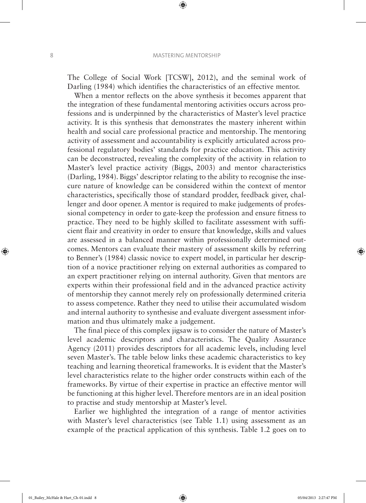$\bigoplus$ 

⊕

The College of Social Work [TCSW], 2012), and the seminal work of Darling (1984) which identifies the characteristics of an effective mentor.

When a mentor reflects on the above synthesis it becomes apparent that the integration of these fundamental mentoring activities occurs across professions and is underpinned by the characteristics of Master's level practice activity. It is this synthesis that demonstrates the mastery inherent within health and social care professional practice and mentorship. The mentoring activity of assessment and accountability is explicitly articulated across professional regulatory bodies' standards for practice education. This activity can be deconstructed, revealing the complexity of the activity in relation to Master's level practice activity (Biggs, 2003) and mentor characteristics (Darling, 1984). Biggs' descriptor relating to the ability to recognise the insecure nature of knowledge can be considered within the context of mentor characteristics, specifically those of standard prodder, feedback giver, challenger and door opener. A mentor is required to make judgements of professional competency in order to gate-keep the profession and ensure fitness to practice. They need to be highly skilled to facilitate assessment with sufficient flair and creativity in order to ensure that knowledge, skills and values are assessed in a balanced manner within professionally determined outcomes. Mentors can evaluate their mastery of assessment skills by referring to Benner's (1984) classic novice to expert model, in particular her description of a novice practitioner relying on external authorities as compared to an expert practitioner relying on internal authority. Given that mentors are experts within their professional field and in the advanced practice activity of mentorship they cannot merely rely on professionally determined criteria to assess competence. Rather they need to utilise their accumulated wisdom and internal authority to synthesise and evaluate divergent assessment information and thus ultimately make a judgement.

The final piece of this complex jigsaw is to consider the nature of Master's level academic descriptors and characteristics. The Quality Assurance Agency (2011) provides descriptors for all academic levels, including level seven Master's. The table below links these academic characteristics to key teaching and learning theoretical frameworks. It is evident that the Master's level characteristics relate to the higher order constructs within each of the frameworks. By virtue of their expertise in practice an effective mentor will be functioning at this higher level. Therefore mentors are in an ideal position to practise and study mentorship at Master's level.

Earlier we highlighted the integration of a range of mentor activities with Master's level characteristics (see Table 1.1) using assessment as an example of the practical application of this synthesis. Table 1.2 goes on to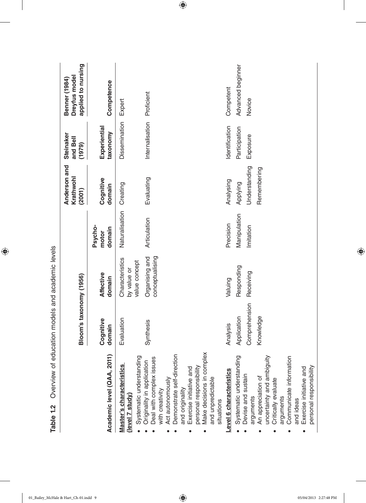|                                                                                                                                                                                                                                                                         | Bloom's taxonomy (1956)                   |                                                 |                            | Anderson and<br>Krathwohl<br>(2001)      | Steinaker<br>and Bell<br>(1979) | applied to nursing<br>Dreyfus model<br>Benner (1984) |
|-------------------------------------------------------------------------------------------------------------------------------------------------------------------------------------------------------------------------------------------------------------------------|-------------------------------------------|-------------------------------------------------|----------------------------|------------------------------------------|---------------------------------|------------------------------------------------------|
| Academic level (QAA, 2011                                                                                                                                                                                                                                               | Cognitive<br>domain                       | <b>Affective</b><br>domain                      | Psycho-<br>domain<br>motor | Cognitive<br>domain                      | Experiential<br>taxonomy        | Competence                                           |
| Systematic understanding<br>Master's characteristics<br>(level 7 study)                                                                                                                                                                                                 | Evaluation                                | Characteristics<br>value concept<br>by value or | Naturalisation             | Creating                                 | Dissemination                   | Expert                                               |
| δ<br>Demonstrate self-direction<br>Deal with complex issues<br>Originality in application<br>Make decisions in compl<br>personal responsibility<br>Exercise initiative and<br>and unpredictable<br>Act autonomously<br>and originality<br>with creativity<br>situations | Synthesis                                 | conceptualising<br>Organising and               | Articulation               | Evaluating                               | Internalisation                 | Proficient                                           |
| Level 6 characteristics                                                                                                                                                                                                                                                 | Analysis                                  | Valuing                                         | Precision                  | Analysing                                | Identification                  | Competent                                            |
| uncertainty and ambiguity<br>Systematic understanding<br>Communicate information<br>personal responsibility<br>Exercise initiative and<br>Devise and sustain<br>An appreciation of<br>Critically evaluate<br>arguments<br>arguments<br>and ideas                        | Comprehension<br>Application<br>Knowledge | Responding<br>Receiving                         | Manipulation<br>Imitation  | Understanding<br>Remembering<br>Applying | Participation<br>Exposure       | Advanced beginner<br>Novice                          |

 $\bigoplus$ 

**Table 1.2** Overview of education models and academic levels ł, ł, Ê l, l, Ć  $\epsilon$ Ė

 $\bigoplus$ 

 $\overline{\phantom{a}}$ 

 $\bigoplus$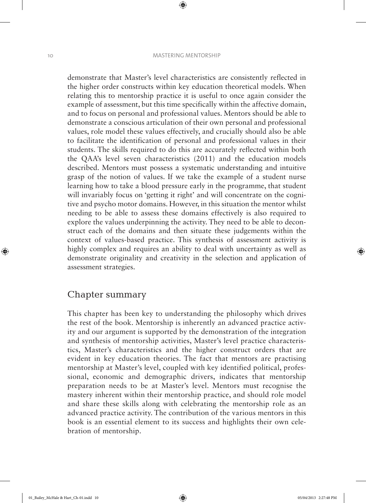#### 10 MASTERING MENTORSHIP

 $\textcircled{\scriptsize{*}}$ 

demonstrate that Master's level characteristics are consistently reflected in the higher order constructs within key education theoretical models. When relating this to mentorship practice it is useful to once again consider the example of assessment, but this time specifically within the affective domain, and to focus on personal and professional values. Mentors should be able to demonstrate a conscious articulation of their own personal and professional values, role model these values effectively, and crucially should also be able to facilitate the identification of personal and professional values in their students. The skills required to do this are accurately reflected within both the QAA's level seven characteristics (2011) and the education models described. Mentors must possess a systematic understanding and intuitive grasp of the notion of values. If we take the example of a student nurse learning how to take a blood pressure early in the programme, that student will invariably focus on 'getting it right' and will concentrate on the cognitive and psycho motor domains. However, in this situation the mentor whilst needing to be able to assess these domains effectively is also required to explore the values underpinning the activity. They need to be able to deconstruct each of the domains and then situate these judgements within the context of values-based practice. This synthesis of assessment activity is highly complex and requires an ability to deal with uncertainty as well as demonstrate originality and creativity in the selection and application of assessment strategies.

## Chapter summary

This chapter has been key to understanding the philosophy which drives the rest of the book. Mentorship is inherently an advanced practice activity and our argument is supported by the demonstration of the integration and synthesis of mentorship activities, Master's level practice characteristics, Master's characteristics and the higher construct orders that are evident in key education theories. The fact that mentors are practising mentorship at Master's level, coupled with key identified political, professional, economic and demographic drivers, indicates that mentorship preparation needs to be at Master's level. Mentors must recognise the mastery inherent within their mentorship practice, and should role model and share these skills along with celebrating the mentorship role as an advanced practice activity. The contribution of the various mentors in this book is an essential element to its success and highlights their own celebration of mentorship.

♠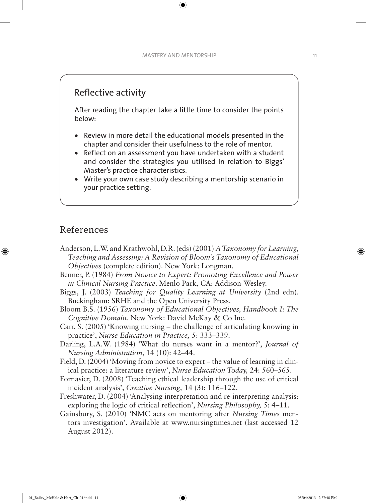## Reflective activity

After reading the chapter take a little time to consider the points below:

- Review in more detail the educational models presented in the chapter and consider their usefulness to the role of mentor.
- Reflect on an assessment you have undertaken with a student and consider the strategies you utilised in relation to Biggs' Master's practice characteristics.
- Write your own case study describing a mentorship scenario in your practice setting.

## References

⊕

- Anderson, L.W. and Krathwohl, D.R. (eds) (2001) *A Taxonomy for Learning, Teaching and Assessing: A Revision of Bloom's Taxonomy of Educational Objectives* (complete edition). New York: Longman.
- Benner, P. (1984) *From Novice to Expert: Promoting Excellence and Power in Clinical Nursing Practice*. Menlo Park, CA: Addison-Wesley.
- Biggs, J. (2003) *Teaching for Quality Learning at University* (2nd edn). Buckingham: SRHE and the Open University Press.
- Bloom B.S. (1956) *Taxonomy of Educational Objectives, Handbook I: The Cognitive Domain*. New York: David McKay & Co Inc.
- Carr, S. (2005) 'Knowing nursing the challenge of articulating knowing in practice', *Nurse Education in Practice,* 5: 333–339.
- Darling, L.A.W. (1984) 'What do nurses want in a mentor?', *Journal of Nursing Administration*, 14 (10): 42–44.
- Field, D. (2004) 'Moving from novice to expert the value of learning in clinical practice: a literature review', *Nurse Education Today,* 24: 560–565.
- Fornasier, D. (2008) 'Teaching ethical leadership through the use of critical incident analysis', *Creative Nursing,* 14 (3): 116–122.
- Freshwater, D. (2004) 'Analysing interpretation and re-interpreting analysis: exploring the logic of critical reflection', *Nursing Philosophy,* 5: 4–11.
- Gainsbury, S. (2010) *'*NMC acts on mentoring after *Nursing Times* mentors investigation'. Available at www.nursingtimes.net (last accessed 12 August 2012).